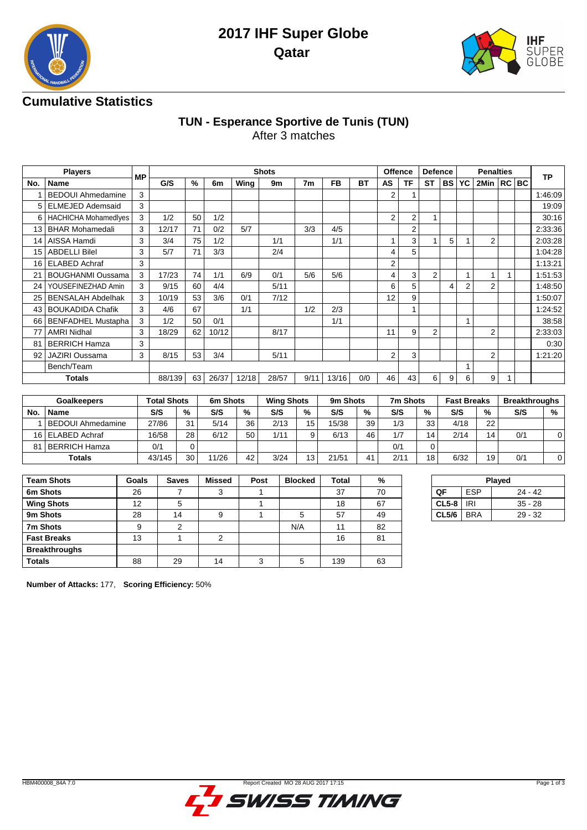



## **Cumulative Statistics**

### **TUN - Esperance Sportive de Tunis (TUN)** After 3 matches

|     | <b>Players</b>              |           |        |      |       |       | <b>Shots</b> |      |           |           | <b>Offence</b> |                | <b>Defence</b> |      |    | <b>Penalties</b> |  |           |
|-----|-----------------------------|-----------|--------|------|-------|-------|--------------|------|-----------|-----------|----------------|----------------|----------------|------|----|------------------|--|-----------|
| No. | <b>Name</b>                 | <b>MP</b> | G/S    | $\%$ | 6m    | Wing  | 9m           | 7m   | <b>FB</b> | <b>BT</b> | <b>AS</b>      | TF             | <b>ST</b>      | BS I | YC | 2Min   RC   BC   |  | <b>TP</b> |
|     | <b>BEDOUI Ahmedamine</b>    | 3         |        |      |       |       |              |      |           |           | 2              |                |                |      |    |                  |  | 1:46:09   |
|     | <b>ELMEJED Ademsaid</b>     | 3         |        |      |       |       |              |      |           |           |                |                |                |      |    |                  |  | 19:09     |
| 6   | <b>HACHICHA Mohamedlyes</b> | 3         | 1/2    | 50   | 1/2   |       |              |      |           |           | $\overline{2}$ | $\overline{2}$ | 1              |      |    |                  |  | 30:16     |
| 13  | <b>BHAR Mohamedali</b>      | 3         | 12/17  | 71   | 0/2   | 5/7   |              | 3/3  | 4/5       |           |                | 2              |                |      |    |                  |  | 2:33:36   |
| 14  | AISSA Hamdi                 | 3         | 3/4    | 75   | 1/2   |       | 1/1          |      | 1/1       |           |                | 3              |                | 5    |    | 2                |  | 2:03:28   |
| 15  | <b>ABDELLI Bilel</b>        | 3         | 5/7    | 71   | 3/3   |       | 2/4          |      |           |           | 4              | 5              |                |      |    |                  |  | 1:04:28   |
| 16  | <b>ELABED Achraf</b>        | 3         |        |      |       |       |              |      |           |           | 2              |                |                |      |    |                  |  | 1:13:21   |
| 21  | <b>BOUGHANMI Oussama</b>    | 3         | 17/23  | 74   | 1/1   | 6/9   | 0/1          | 5/6  | 5/6       |           | 4              | 3              | 2              |      |    |                  |  | 1:51:53   |
| 24  | YOUSEFINEZHAD Amin          | 3         | 9/15   | 60   | 4/4   |       | 5/11         |      |           |           | 6              | 5              |                | 4    | 2  | 2                |  | 1:48:50   |
| 25  | <b>BENSALAH Abdelhak</b>    | 3         | 10/19  | 53   | 3/6   | 0/1   | 7/12         |      |           |           | 12             | 9              |                |      |    |                  |  | 1:50:07   |
| 43  | <b>BOUKADIDA Chafik</b>     | 3         | 4/6    | 67   |       | 1/1   |              | 1/2  | 2/3       |           |                |                |                |      |    |                  |  | 1:24:52   |
| 66  | <b>BENFADHEL Mustapha</b>   | 3         | 1/2    | 50   | 0/1   |       |              |      | 1/1       |           |                |                |                |      |    |                  |  | 38:58     |
| 77  | <b>AMRI Nidhal</b>          | 3         | 18/29  | 62   | 10/12 |       | 8/17         |      |           |           | 11             | 9              | 2              |      |    | 2                |  | 2:33:03   |
| 81  | <b>BERRICH Hamza</b>        | 3         |        |      |       |       |              |      |           |           |                |                |                |      |    |                  |  | 0:30      |
| 92  | <b>JAZIRI Oussama</b>       | 3         | 8/15   | 53   | 3/4   |       | 5/11         |      |           |           | $\overline{2}$ | 3              |                |      |    | 2                |  | 1:21:20   |
|     | Bench/Team                  |           |        |      |       |       |              |      |           |           |                |                |                |      |    |                  |  |           |
|     | <b>Totals</b>               |           | 88/139 | 63   | 26/37 | 12/18 | 28/57        | 9/11 | 13/16     | 0/0       | 46             | 43             | 6              | 9    | 6  | 9                |  |           |

|     | <b>Goalkeepers</b>  | <b>Total Shots</b> |    | 6m Shots |    | <b>Wing Shots</b> |    | 9m Shots |                | 7m Shots |    | <b>Fast Breaks</b> |    | <b>Breakthroughs</b> |   |
|-----|---------------------|--------------------|----|----------|----|-------------------|----|----------|----------------|----------|----|--------------------|----|----------------------|---|
| No. | <b>Name</b>         | S/S                | %  | S/S      | %  | S/S               | %  | S/S      | %              | S/S      | %  | S/S                | %  | S/S                  | % |
|     | l BEDOUI Ahmedamine | 27/86              | 31 | 5/14     | 36 | 2/13              | 15 | 15/38    | 39             | 1/3      | 33 | 4/18               | 22 |                      |   |
|     | 16 ELABED Achraf    | 16/58              | 28 | 6/12     | 50 | 1/11              | Q  | 6/13     | 46             | 1/7      | 14 | 2/14               | 14 | 0/1                  |   |
| 81  | BERRICH Hamza       | 0/1                |    |          |    |                   |    |          |                | 0/1      |    |                    |    |                      |   |
|     | <b>Totals</b>       | 43/145             | 30 | 11/26    | 42 | 3/24              | 13 | 21/51    | 4 <sup>1</sup> | 2/11     | 18 | 6/32               | 19 | 0/1                  |   |

| <b>Team Shots</b>    | Goals | <b>Saves</b> | <b>Missed</b> | Post | <b>Blocked</b> | Total | %  |
|----------------------|-------|--------------|---------------|------|----------------|-------|----|
| 6m Shots             | 26    |              | 3             |      |                | 37    | 70 |
| <b>Wing Shots</b>    | 12    | 5            |               |      |                | 18    | 67 |
| 9m Shots             | 28    | 14           | 9             |      | 5              | 57    | 49 |
| 7m Shots             | 9     | 2            |               |      | N/A            | 11    | 82 |
| <b>Fast Breaks</b>   | 13    |              | C             |      |                | 16    | 81 |
| <b>Breakthroughs</b> |       |              |               |      |                |       |    |
| <b>Totals</b>        | 88    | 29           | 14            | 3    | 5              | 139   | 63 |

|                  | Played    |
|------------------|-----------|
| ΩF<br><b>FSP</b> | 24 - 42   |
| $CL5-8$<br>IRI   | $35 - 28$ |
| $CL5/6$ BRA      | $29 - 32$ |
|                  |           |

**Number of Attacks:** 177, **Scoring Efficiency:** 50%

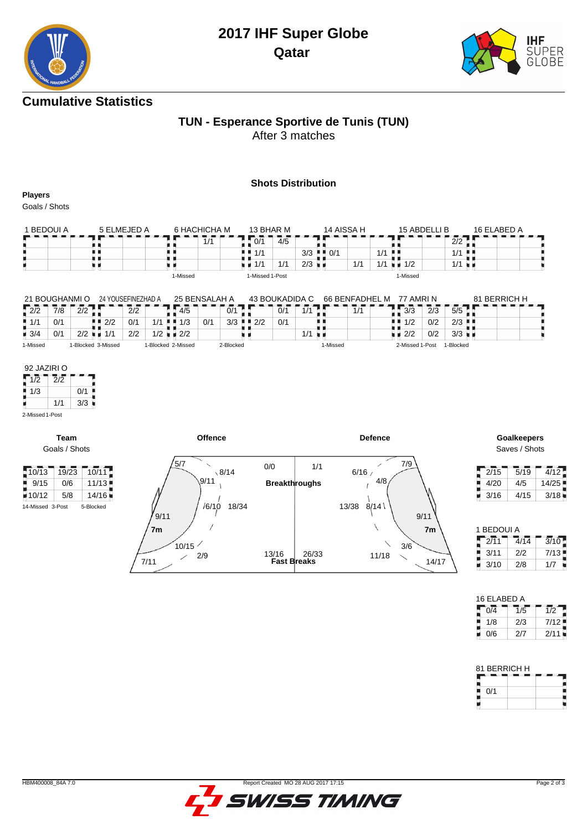# **2017 IHF Super Globe Qatar**



# **Cumulative Statistics**

#### **TUN - Esperance Sportive de Tunis (TUN)** After 3 matches

#### **Shots Distribution**

**Players**

Goals / Shots

| 1 BEDOUI A | 5 FI MEJED A | 6 HACHICHA M | 13 BHAR M       | 14 AISSA H                        | 15 ABDELLI B | 16 ELABED A |
|------------|--------------|--------------|-----------------|-----------------------------------|--------------|-------------|
|            |              | 1/1          | 0/1<br>4/5      |                                   |              | 2/2         |
|            |              |              | $M$ $M$ 1/1     | $3/3$ $\parallel$ $\parallel$ 0/1 | $1/1$        | $1/1$       |
|            |              |              | 1/1<br>1/1      | $2/3$ $\blacksquare$<br>1/1       | 4 I A<br>1/2 | 1/1         |
|            |              | 1-Missed     | 1-Missed 1-Post |                                   | 1-Missed     |             |

| 21 BOUGHANMI O     |     |                    | 24 YOUSEFINEZHAD A |     |                    |     | 25 BENSALAH A |           |     | 43 BOUKADIDA C |          | 66 BENFADHEL M |     | 77 AMRI N       |     |                      | 81 BERRICH H |  |
|--------------------|-----|--------------------|--------------------|-----|--------------------|-----|---------------|-----------|-----|----------------|----------|----------------|-----|-----------------|-----|----------------------|--------------|--|
| $\frac{1}{2}$ 2/2  | 7/8 | 2/2                |                    | 2/2 |                    | 4/5 |               | 0/1       |     | 0/1            |          | 1/1            |     | 3/3             | 2/3 | 5/5                  |              |  |
| $\blacksquare$ 1/1 | 0/1 |                    | 2/2                | 0/1 | 11                 | 1/3 | 0/1           | 3/3       | 2/2 | 0/1            |          |                | . . | 1/2             | 0/2 | $2/3$ $\blacksquare$ |              |  |
| $\blacksquare$ 3/4 | 0/1 | 2/2                | 1/1                | 2/2 | 1/2                | 2/2 |               |           |     |                |          |                |     | 2/2             | 0/2 | $3/3$ $\blacksquare$ |              |  |
| 1-Missed           |     | 1-Blocked 3-Missed |                    |     | 1-Blocked 2-Missed |     |               | 2-Blocked |     |                | 1-Missed |                |     | 2-Missed 1-Post |     | 1-Blocked            |              |  |

| 92 JAZIRI O |     |     |
|-------------|-----|-----|
| 1/2         | 2/2 |     |
| 1/3         |     | 0/1 |
|             | 1/1 | 3/3 |

**Team** Goals / Shots



Saves / Shots

| 2/15 | 5/19 | $\sqrt{4/12}$ |
|------|------|---------------|
| 4/20 | 4/5  | 14/25         |
| 3/16 | 4/15 | 3/18          |

| 1 BEDOUI A |      |                   |
|------------|------|-------------------|
| 2/11       | 4/14 | $\overline{3}/10$ |
| 3/11       | 2/2  | 7/13              |
| 3/10       | 2/8  | 1/7               |

| 16 ELABED A |     |      |
|-------------|-----|------|
| 0/4         | 1/5 | 1/2  |
| 1/8         | 2/3 | 7/12 |
| 0/6         | 2/7 | 2/11 |

| 81 BERRICH H |  |
|--------------|--|
|              |  |
| 0/1          |  |
|              |  |